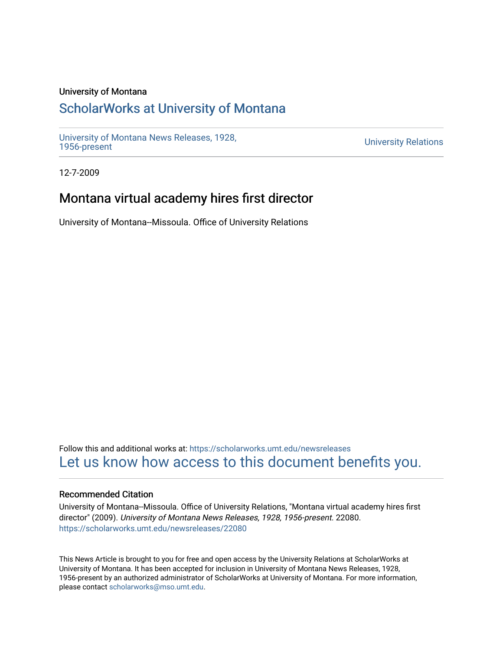### University of Montana

# [ScholarWorks at University of Montana](https://scholarworks.umt.edu/)

[University of Montana News Releases, 1928,](https://scholarworks.umt.edu/newsreleases) 

**University Relations** 

12-7-2009

# Montana virtual academy hires first director

University of Montana--Missoula. Office of University Relations

Follow this and additional works at: [https://scholarworks.umt.edu/newsreleases](https://scholarworks.umt.edu/newsreleases?utm_source=scholarworks.umt.edu%2Fnewsreleases%2F22080&utm_medium=PDF&utm_campaign=PDFCoverPages) [Let us know how access to this document benefits you.](https://goo.gl/forms/s2rGfXOLzz71qgsB2) 

#### Recommended Citation

University of Montana--Missoula. Office of University Relations, "Montana virtual academy hires first director" (2009). University of Montana News Releases, 1928, 1956-present. 22080. [https://scholarworks.umt.edu/newsreleases/22080](https://scholarworks.umt.edu/newsreleases/22080?utm_source=scholarworks.umt.edu%2Fnewsreleases%2F22080&utm_medium=PDF&utm_campaign=PDFCoverPages) 

This News Article is brought to you for free and open access by the University Relations at ScholarWorks at University of Montana. It has been accepted for inclusion in University of Montana News Releases, 1928, 1956-present by an authorized administrator of ScholarWorks at University of Montana. For more information, please contact [scholarworks@mso.umt.edu.](mailto:scholarworks@mso.umt.edu)